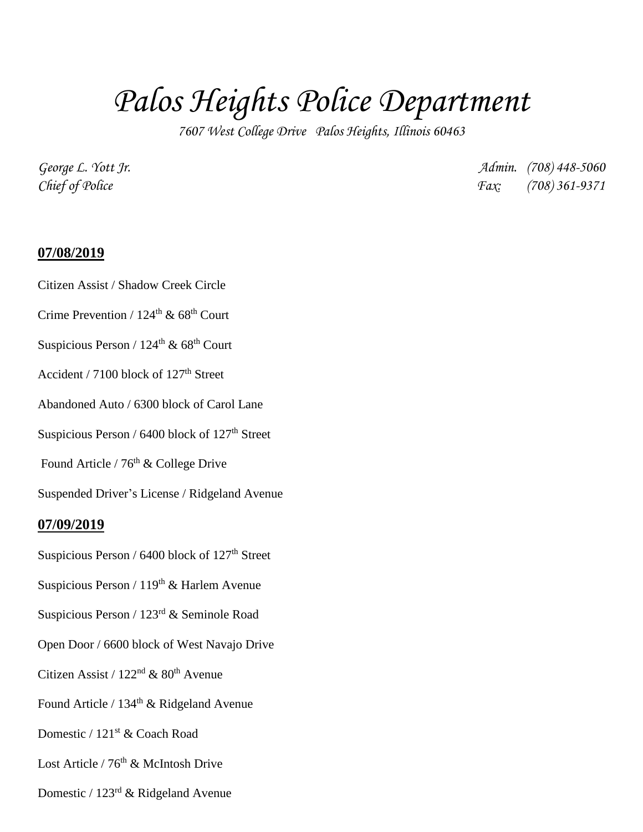# *Palos Heights Police Department*

*7607 West College Drive Palos Heights, Illinois 60463*

*George L. Yott Jr. Admin. (708) 448-5060 Chief of Police Fax: (708) 361-9371*

### **07/08/2019**

Citizen Assist / Shadow Creek Circle

Crime Prevention /  $124^{\text{th}}$  &  $68^{\text{th}}$  Court

Suspicious Person /  $124^{\text{th}}$  &  $68^{\text{th}}$  Court

Accident / 7100 block of  $127<sup>th</sup>$  Street

Abandoned Auto / 6300 block of Carol Lane

Suspicious Person /  $6400$  block of  $127<sup>th</sup>$  Street

Found Article /  $76<sup>th</sup>$  & College Drive

Suspended Driver's License / Ridgeland Avenue

### **07/09/2019**

- Suspicious Person /  $6400$  block of  $127<sup>th</sup>$  Street
- Suspicious Person /  $119<sup>th</sup>$  & Harlem Avenue
- Suspicious Person / 123rd & Seminole Road
- Open Door / 6600 block of West Navajo Drive
- Citizen Assist /  $122<sup>nd</sup>$  &  $80<sup>th</sup>$  Avenue
- Found Article / 134<sup>th</sup> & Ridgeland Avenue
- Domestic / 121st & Coach Road
- Lost Article / 76<sup>th</sup> & McIntosh Drive
- Domestic / 123rd & Ridgeland Avenue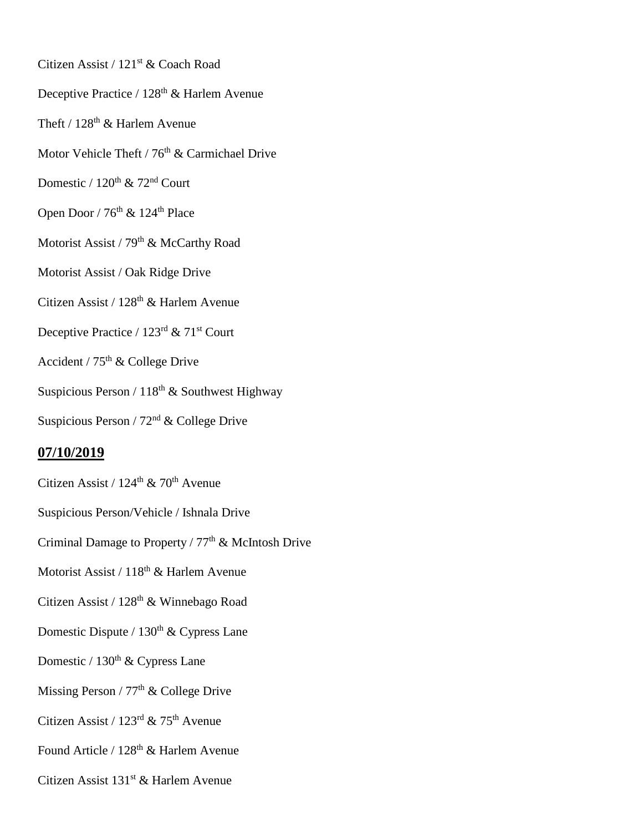- Citizen Assist / 121<sup>st</sup> & Coach Road
- Deceptive Practice / 128<sup>th</sup> & Harlem Avenue
- Theft /  $128^{\text{th}}$  & Harlem Avenue
- Motor Vehicle Theft /  $76<sup>th</sup>$  & Carmichael Drive
- Domestic /  $120^{th}$  &  $72^{nd}$  Court
- Open Door /  $76<sup>th</sup>$  & 124<sup>th</sup> Place
- Motorist Assist / 79<sup>th</sup> & McCarthy Road
- Motorist Assist / Oak Ridge Drive
- Citizen Assist / 128<sup>th</sup> & Harlem Avenue
- Deceptive Practice / 123<sup>rd</sup> & 71<sup>st</sup> Court
- Accident /  $75<sup>th</sup>$  & College Drive
- Suspicious Person /  $118^{\rm th}$  & Southwest Highway
- Suspicious Person / 72nd & College Drive

# **07/10/2019**

- Citizen Assist /  $124^{\text{th}}$  &  $70^{\text{th}}$  Avenue
- Suspicious Person/Vehicle / Ishnala Drive
- Criminal Damage to Property /  $77<sup>th</sup>$  & McIntosh Drive
- Motorist Assist / 118<sup>th</sup> & Harlem Avenue
- Citizen Assist / 128<sup>th</sup> & Winnebago Road
- Domestic Dispute /  $130<sup>th</sup>$  & Cypress Lane
- Domestic /  $130<sup>th</sup>$  & Cypress Lane
- Missing Person /  $77<sup>th</sup>$  & College Drive
- Citizen Assist /  $123<sup>rd</sup>$  & 75<sup>th</sup> Avenue
- Found Article / 128<sup>th</sup> & Harlem Avenue
- Citizen Assist 131<sup>st</sup> & Harlem Avenue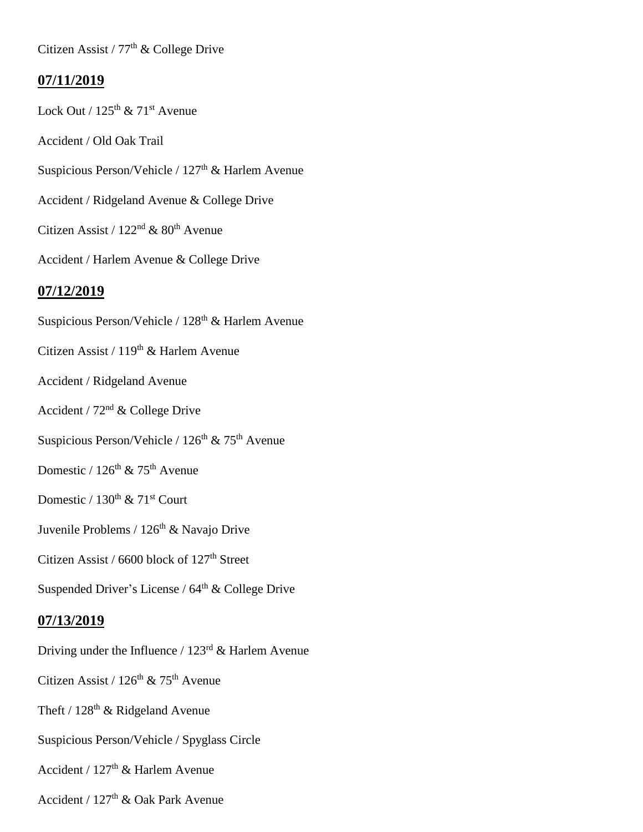Citizen Assist /  $77<sup>th</sup>$  & College Drive

## **07/11/2019**

Lock Out /  $125<sup>th</sup>$  &  $71<sup>st</sup>$  Avenue Accident / Old Oak Trail Suspicious Person/Vehicle / 127<sup>th</sup> & Harlem Avenue Accident / Ridgeland Avenue & College Drive Citizen Assist /  $122<sup>nd</sup>$  &  $80<sup>th</sup>$  Avenue Accident / Harlem Avenue & College Drive **07/12/2019** Suspicious Person/Vehicle /  $128<sup>th</sup>$  & Harlem Avenue Citizen Assist /  $119<sup>th</sup>$  & Harlem Avenue Accident / Ridgeland Avenue Accident /  $72<sup>nd</sup>$  & College Drive Suspicious Person/Vehicle /  $126<sup>th</sup>$  &  $75<sup>th</sup>$  Avenue Domestic /  $126<sup>th</sup>$  & 75<sup>th</sup> Avenue Domestic /  $130^{\text{th}}$  &  $71^{\text{st}}$  Court Juvenile Problems / 126<sup>th</sup> & Navajo Drive Citizen Assist / 6600 block of  $127<sup>th</sup>$  Street Suspended Driver's License /  $64<sup>th</sup>$  & College Drive **07/13/2019** Driving under the Influence /  $123<sup>rd</sup>$  & Harlem Avenue Citizen Assist /  $126<sup>th</sup>$  & 75<sup>th</sup> Avenue Theft /  $128<sup>th</sup>$  & Ridgeland Avenue

Suspicious Person/Vehicle / Spyglass Circle

Accident /  $127<sup>th</sup>$  & Harlem Avenue

Accident / 127th & Oak Park Avenue